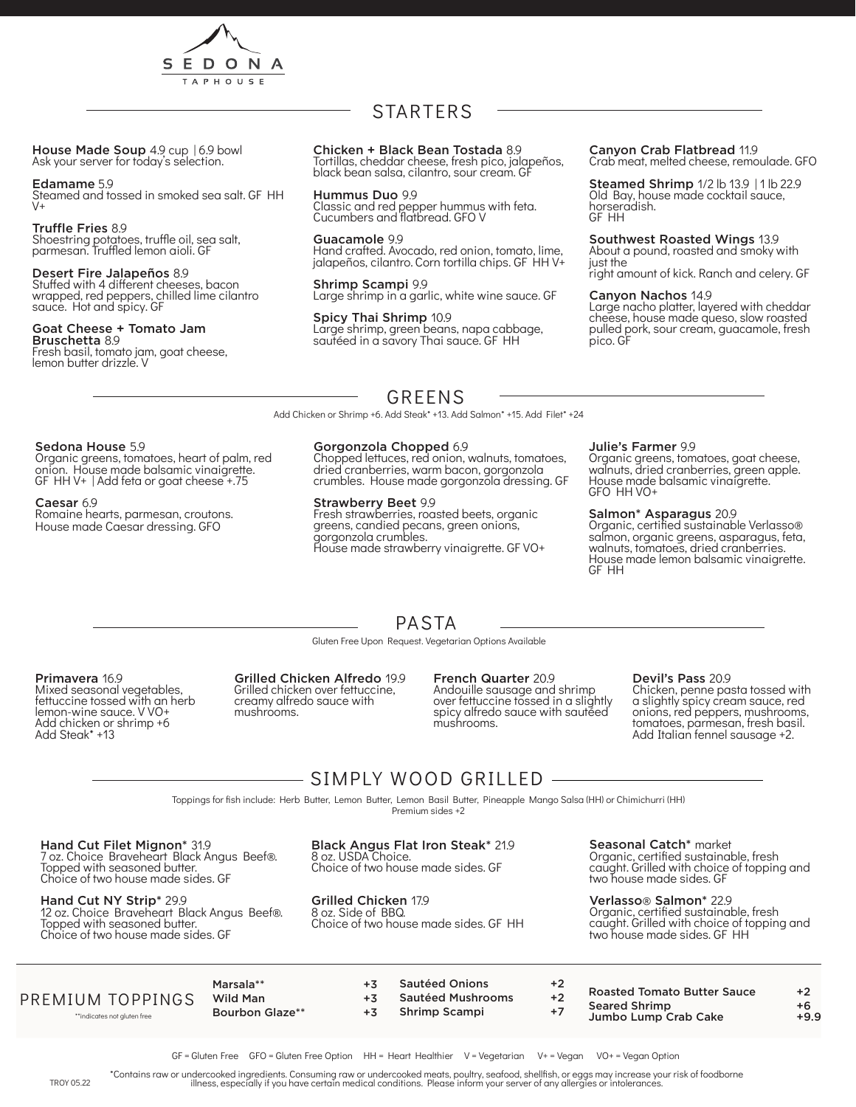

House Made Soup 4.9 cup | 6.9 bowl<br>Ask your server for today's selection.

Edamame 5.9 Steamed and tossed in smoked sea salt. GF HH  $V<sub>+</sub>$ 

Truffle Fries 8.9 Shoestring potatoes, truffle oil, sea salt, parmesan. Truffled lemon aioli. GF

#### Desert Fire Jalapeños 8.9 Stuffed with 4 different cheeses, bacon wrapped, red peppers, chilled lime cilantro sauce. Hot and spicy. GF

Goat Cheese + Tomato Jam Bruschetta 8.9

Fresh basil, tomato jam, goat cheese, lemon butter drizzle. V

## STARTERS

Chicken + Black Bean Tostada 8.9 Tortillas, cheddar cheese, fresh pico, jalapeños, black bean salsa, cilantro, sour cream. GF

Hummus Duo 9.9 Classic and red pepper hummus with feta. Cucumbers and flatbread. GFO V

Guacamole 9.9 Hand crafted. Avocado, red onion, tomato, lime, jalapeños, cilantro. Corn tortilla chips. GF HH V+

Shrimp Scampi 9.9 Large shrimp in a garlic, white wine sauce. GF

Spicy Thai Shrimp 10.9 Large shrimp, green beans, napa cabbage, sautéed in a savory Thai sauce. GF HH

Canyon Crab Flatbread 11.9 Crab meat, melted cheese, remoulade. GFO

Steamed Shrimp 1/2 lb 13.9 | 1 lb 22.9 Old Bay, house made cocktail sauce, horseradish. GF HH

Southwest Roasted Wings 13.9 About a pound, roasted and smoky with just the right amount of kick. Ranch and celery. GF

#### Canyon Nachos 14.9

Large nacho platter, layered with cheddar cheese, house made queso, slow roasted pulled pork, sour cream, guacamole, fresh pico. GF

### GREENS

Add Chicken or Shrimp +6. Add Steak\* +13. Add Salmon\* +15. Add Filet\* +24

#### Sedona House 5.9

Organic greens, tomatoes, heart of palm, red onion. House made balsamic vinaigrette. GF HH V+ | Add feta or goat cheese +.75

#### Caesar 6.9

Romaine hearts, parmesan, croutons. House made Caesar dressing. GFO

#### Gorgonzola Chopped 6.9

Chopped lettuces, red onion, walnuts, tomatoes, dried cranberries, warm bacon, gorgonzola crumbles. House made gorgonzola dressing. GF

#### Strawberry Beet 9.9

Fresh strawberries, roasted beets, organic greens, candied pecans, green onions, gorgonzola crumbles. House made strawberry vinaigrette. GF VO+

Gluten Free Upon Request. Vegetarian Options Available PASTA

#### Julie's Farmer 9.9

Organic greens, tomatoes, goat cheese, walnuts, dried cranberries, green apple. House made balsamic vinaigrette. GFO HH VO+

#### Salmon\* Asparagus 20.9

Organic, certified sustainable Verlasso® salmon, organic greens, asparagus, feta, walnuts, tomatoes, dried cranberries. House made lemon balsamic vinaigrette. GF HH

Primavera 16.9 Mixed seasonal vegetables, fettuccine tossed with an herb lemon-wine sauce. V VO+ Add chicken or shrimp +6 Add Steak\* +13

#### Grilled Chicken Alfredo 19.9 Grilled chicken over fettuccine, creamy alfredo sauce with

#### French Quarter 20.9

Andouille sausage and shrimp over fettuccine tossed in a slightly spicy alfredo sauce with sautéed mushrooms.

#### Devil's Pass 20.9

Chicken, penne pasta tossed with a slightly spicy cream sauce, red onions, red peppers, mushrooms, tomatoes, parmesan, fresh basil. Add Italian fennel sausage +2.

## SIMPLY WOOD GRILLED

Toppings for fish include: Herb Butter, Lemon Butter, Lemon Basil Butter, Pineapple Mango Salsa (HH) or Chimichurri (HH)

Premium sides +2

Hand Cut Filet Mignon\* 31.9

7 oz. Choice Braveheart Black Angus Beef®. Topped with seasoned butter. Choice of two house made sides. GF

Hand Cut NY Strip\* 29.9 12 oz. Choice Braveheart Black Angus Beef®. Topped with seasoned butter. Choice of two house made sides. GF

Black Angus Flat Iron Steak\* 21.9 8 oz. USDA Choice.

Choice of two house made sides. GF

Grilled Chicken 17.9 8 oz. Side of BBQ. Choice of two house made sides. GF HH Seasonal Catch\* market

Organic, certified sustainable, fresh caught. Grilled with choice of topping and two house made sides. GF

Verlasso® Salmon\* 22.9 Organic, certified sustainable, fresh caught. Grilled with choice of topping and two house made sides. GF HH

### PREMIUM TOPPINGS

\*\*indicates not gluten free

Marsala\*\* +3 Wild Man  $+3$ Bourbon Glaze\*\* +3

mushrooms

- Sautéed Onions +2 Sautéed Mushrooms +2
- Shrimp Scampi +7
- Roasted Tomato Butter Sauce +2 Seared Shrimp  $+6$ <br>Jumbo Lumb Crab Cake  $+9.9$
- Jumbo Lump Crab Cake
- GF = Gluten Free GFO = Gluten Free Option HH = Heart Healthier V = Vegetarian V+ = Vegan VO+ = Vegan Option

Ī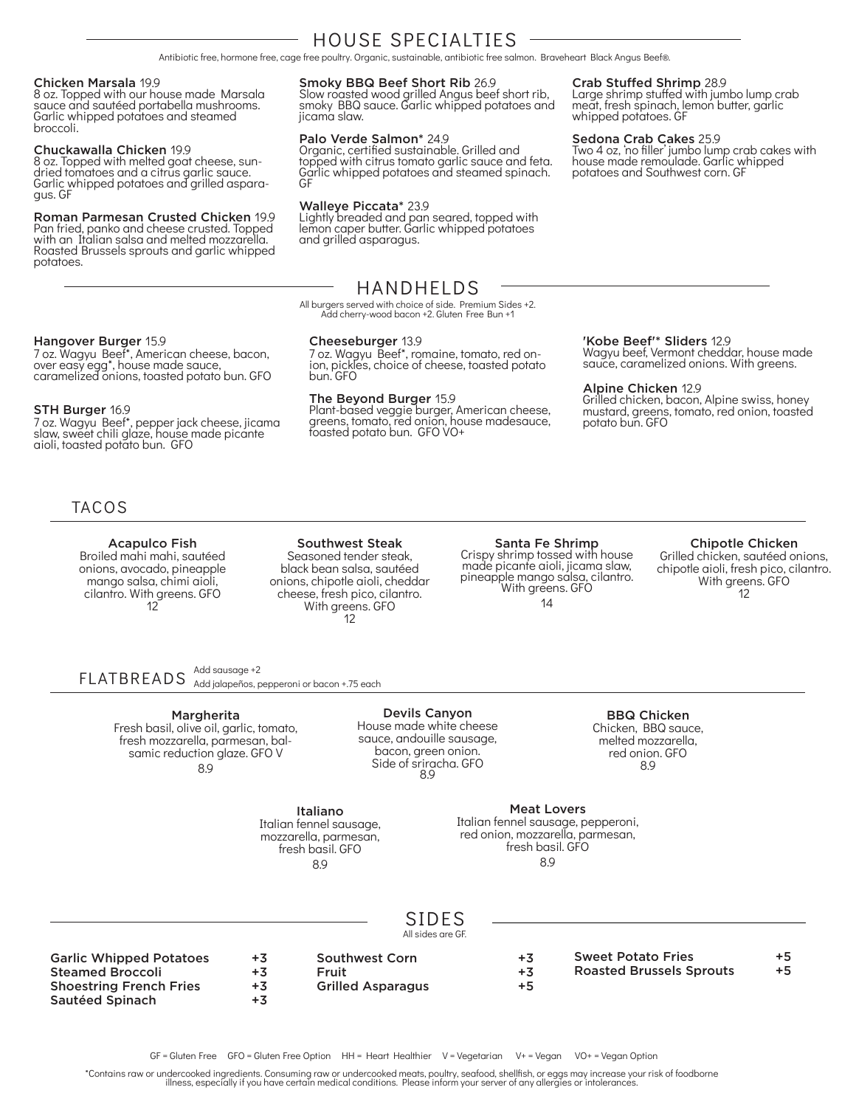## HOUSE SPECIALTIES

Antibiotic free, hormone free, cage free poultry. Organic, sustainable, antibiotic free salmon. Braveheart Black Angus Beef®.

#### Chicken Marsala 19.9

8 oz. Topped with our house made Marsala sauce and sautéed portabella mushrooms. Garlic whipped potatoes and steamed broccoli.

#### Chuckawalla Chicken 19.9

8 oz. Topped with melted goat cheese, sundried tomatoes and a citrus garlic sauce. Garlic whipped potatoes and grilled aspara-<br>gus. GF

#### Roman Parmesan Crusted Chicken 19.9

Pan fried, panko and cheese crusted. Topped with an Italian salsa and melted mozzarella. Roasted Brussels sprouts and garlic whipped potatoes.

#### Smoky BBQ Beef Short Rib 26.9

Slow roasted wood grilled Angus beef short rib, smoky BBQ sauce. Garlic whipped potatoes and jicama slaw.

#### Palo Verde Salmon\* 24.9

Organic, certified sustainable. Grilled and topped with citrus tomato garlic sauce and feta. Garlic whipped potatoes and steamed spinach. GF

#### Walleye Piccata\* 23.9

Lightly breaded and pan seared, topped with lemon caper butter. Garlic whipped potatoes and grilled asparagus.

#### Crab Stuffed Shrimp 28.9

Large shrimp stuffed with jumbo lump crab meat, fresh spinach, lemon butter, garlic whipped potatoes. GF

#### Sedona Crab Cakes 25.9

Two 4 oz, 'no filler' jumbo lump crab cakes with house made remoulade. Garlic whipped potatoes and Southwest corn. GF

#### Hangover Burger 15.9

7 oz. Wagyu Beef\*, American cheese, bacon, over easy egg\*, house made sauce, caramelized onions, toasted potato bun. GFO

#### STH Burger 16.9

7 oz. Wagyu Beef\*, pepper jack cheese, jicama<br>slaw, sweet chili glaze, house made picante aioli, toasted potato bun. GFO

### HANDHELDS

All burgers served with choice of side. Premium Sides +2. Add cherry-wood bacon +2. Gluten Free Bun +1

#### Cheeseburger 13.9

7 oz. Wagyu Beef\*, romaine, tomato, red on- ion, pickles, choice of cheese, toasted potato bun. GFO

#### The Beyond Burger 15.9

Plant-based veggie burger, American cheese, greens, tomato, red onion, house madesauce, toasted potato bun. GFO VO+

#### 'Kobe Beef'\* Sliders 12.9

Wagyu beef, Vermont cheddar, house made sauce, caramelized onions. With greens.

#### Alpine Chicken 12.9

Grilled chicken, bacon, Alpine swiss, honey mustard, greens, tomato, red onion, toasted potato bun. GFO

### TACOS

#### Acapulco Fish

Broiled mahi mahi, sautéed onions, avocado, pineapple mango salsa, chimi aioli, cilantro. With greens. GFO 12

Southwest Steak Seasoned tender steak, black bean salsa, sautéed onions, chipotle aioli, cheddar cheese, fresh pico, cilantro. With greens. GFO 12

Italiano Italian fennel sausage, mozzarella, parmesan, fresh basil. GFO 8.9

#### Santa Fe Shrimp Crispy shrimp tossed with house made picante aioli, jicama slaw, pineapple mango salsa, cilantro. With greens. GFO 14

#### Chipotle Chicken

Grilled chicken, sautéed onions, chipotle aioli, fresh pico, cilantro. With greens. GFO 12

FLATBREADS Add jalapeños, pepperoni or bacon +.75 each Add sausage +2

> Margherita Fresh basil, olive oil, garlic, tomato, fresh mozzarella, parmesan, balsamic reduction glaze. GFO V 8.9

Devils Canyon House made white cheese sauce, andouille sausage, bacon, green onion. Side of sriracha. GFO 8.9

BBQ Chicken Chicken, BBQ sauce, melted mozzarella, red onion. GFO 8.9

Meat Lovers

Italian fennel sausage, pepperoni, red onion, mozzarella, parmesan, fresh basil. GFO 8.9

## SIDES

All sides are GF.

| <b>Garlic Whipped Potatoes</b> | $+3$ | <b>Southwest Corn</b>    | $+3$ | <b>Sweet Potato Fries</b>       | $+5$ |
|--------------------------------|------|--------------------------|------|---------------------------------|------|
| Steamed Broccoli               |      | Fruit                    | $+3$ | <b>Roasted Brussels Sprouts</b> | $+5$ |
| <b>Shoestring French Fries</b> | +3   | <b>Grilled Asparagus</b> | $+5$ |                                 |      |
|                                |      |                          |      |                                 |      |

Sautéed Spinach +3

GF = Gluten Free GFO = Gluten Free Option HH = Heart Healthier V = Vegetarian V+ = Vegan VO+ = Vegan Option

\*Contains raw or undercooked ingredients. Consuming raw or undercooked meats, poultry, seafood, shellfish, or eggs may increase your risk of foodborne<br>illness, especially if you have certain medical conditions. Please info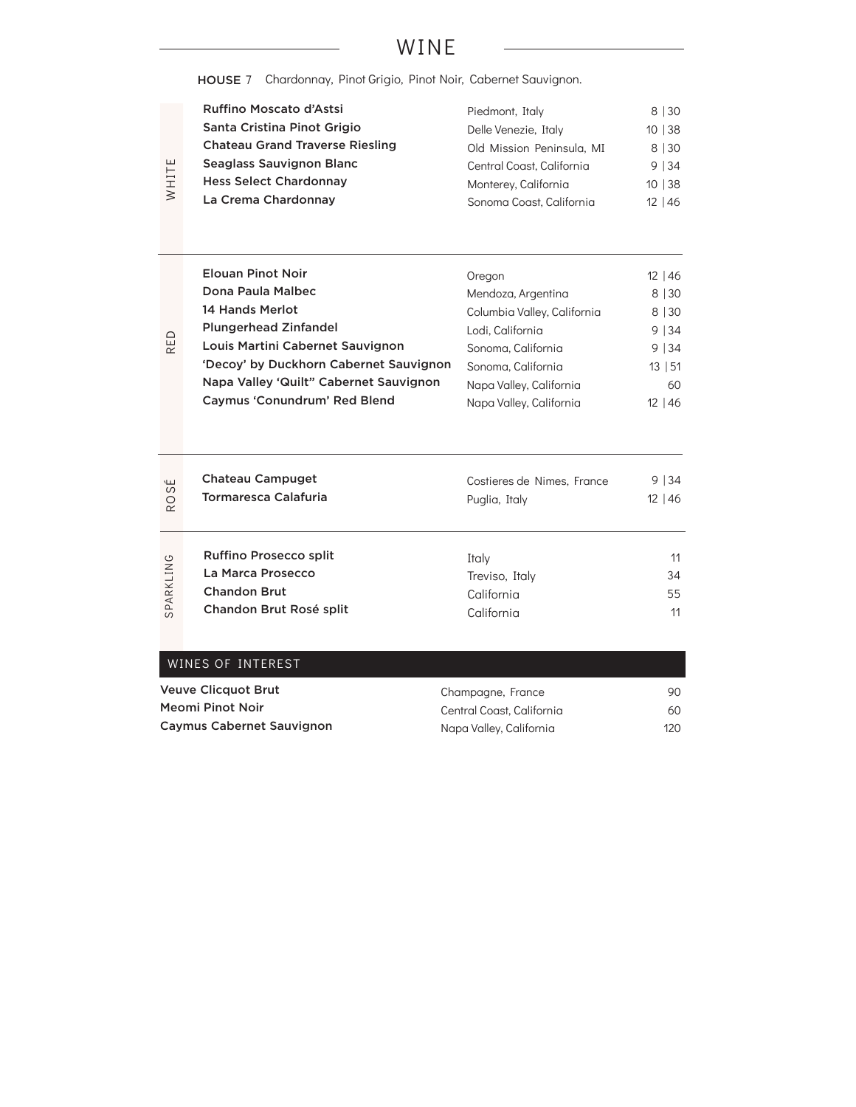## WINE

HOUSE 7 Chardonnay, Pinot Grigio, Pinot Noir, Cabernet Sauvignon.

|       | Ruffino Moscato d'Astsi                | Piedmont, Italy           | 8 30   |
|-------|----------------------------------------|---------------------------|--------|
|       | Santa Cristina Pinot Grigio            | Delle Venezie, Italy      | 10 38  |
| WHITE | <b>Chateau Grand Traverse Riesling</b> | Old Mission Peninsula, MI | 8   30 |
|       | Seaglass Sauvignon Blanc               | Central Coast, California | 9 34   |
|       | <b>Hess Select Chardonnay</b>          | Monterey, California      | 10 38  |
|       | La Crema Chardonnay                    | Sonoma Coast, California  | 12 46  |

|     | <b>Elouan Pinot Noir</b>               | Oregon                      | $12 \mid 46$ |
|-----|----------------------------------------|-----------------------------|--------------|
| RED | Dona Paula Malbec                      | Mendoza, Argentina          | 8   30       |
|     | 14 Hands Merlot                        | Columbia Valley, California | 8   30       |
|     | <b>Plungerhead Zinfandel</b>           | Lodi, California            | 9 34         |
|     | Louis Martini Cabernet Sauvignon       | Sonoma, California          | 9 34         |
|     | 'Decoy' by Duckhorn Cabernet Sauvignon | Sonoma, California          | 13   51      |
|     | Napa Valley 'Quilt" Cabernet Sauvignon | Napa Valley, California     | 60           |
|     | Caymus 'Conundrum' Red Blend           | Napa Valley, California     | $12 \mid 46$ |

| $\mathbf{L}$ | <b>Chateau Campuget</b>       | Costieres de Nimes, France | 9 34         |
|--------------|-------------------------------|----------------------------|--------------|
| <b>ROS</b>   | Tormaresca Calafuria          | Puglia, Italy              | $12 \mid 46$ |
| SPARKLING    | <b>Ruffino Prosecco split</b> | Italv                      | 11           |
|              | La Marca Prosecco             | Treviso, Italy             | 34           |
|              | <b>Chandon Brut</b>           | California                 | 55           |
|              | Chandon Brut Rosé split       | California                 | 11           |

| WINES OF INTEREST                |                           |      |
|----------------------------------|---------------------------|------|
| <b>Veuve Clicquot Brut</b>       | Champagne, France         | 90   |
| Meomi Pinot Noir                 | Central Coast, California | 60   |
| <b>Caymus Cabernet Sauvignon</b> | Napa Valley, California   | 120. |